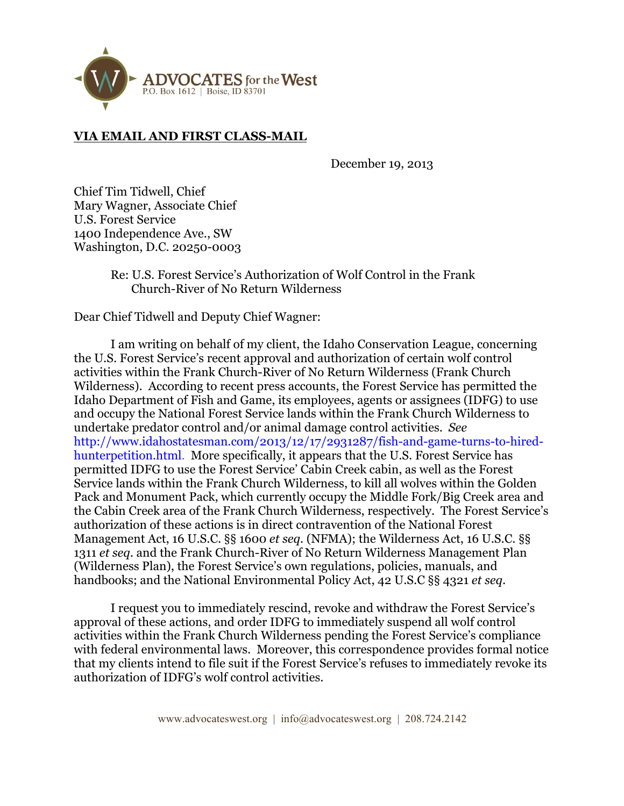

## **VIA EMAIL AND FIRST CLASS-MAIL**

December 19, 2013

Chief Tim Tidwell, Chief Mary Wagner, Associate Chief U.S. Forest Service 1400 Independence Ave., SW Washington, D.C. 20250-0003

> Re: U.S. Forest Service's Authorization of Wolf Control in the Frank Church-River of No Return Wilderness

Dear Chief Tidwell and Deputy Chief Wagner:

I am writing on behalf of my client, the Idaho Conservation League, concerning the U.S. Forest Service's recent approval and authorization of certain wolf control activities within the Frank Church-River of No Return Wilderness (Frank Church Wilderness). According to recent press accounts, the Forest Service has permitted the Idaho Department of Fish and Game, its employees, agents or assignees (IDFG) to use and occupy the National Forest Service lands within the Frank Church Wilderness to undertake predator control and/or animal damage control activities. *See* http://www.idahostatesman.com/2013/12/17/2931287/fish-and-game-turns-to-hiredhunterpetition.html. More specifically, it appears that the U.S. Forest Service has permitted IDFG to use the Forest Service' Cabin Creek cabin, as well as the Forest Service lands within the Frank Church Wilderness, to kill all wolves within the Golden Pack and Monument Pack, which currently occupy the Middle Fork/Big Creek area and the Cabin Creek area of the Frank Church Wilderness, respectively. The Forest Service's authorization of these actions is in direct contravention of the National Forest Management Act, 16 U.S.C. §§ 1600 *et seq.* (NFMA); the Wilderness Act, 16 U.S.C. §§ 1311 *et seq.* and the Frank Church-River of No Return Wilderness Management Plan (Wilderness Plan), the Forest Service's own regulations, policies, manuals, and handbooks; and the National Environmental Policy Act, 42 U.S.C §§ 4321 *et seq*.

I request you to immediately rescind, revoke and withdraw the Forest Service's approval of these actions, and order IDFG to immediately suspend all wolf control activities within the Frank Church Wilderness pending the Forest Service's compliance with federal environmental laws. Moreover, this correspondence provides formal notice that my clients intend to file suit if the Forest Service's refuses to immediately revoke its authorization of IDFG's wolf control activities.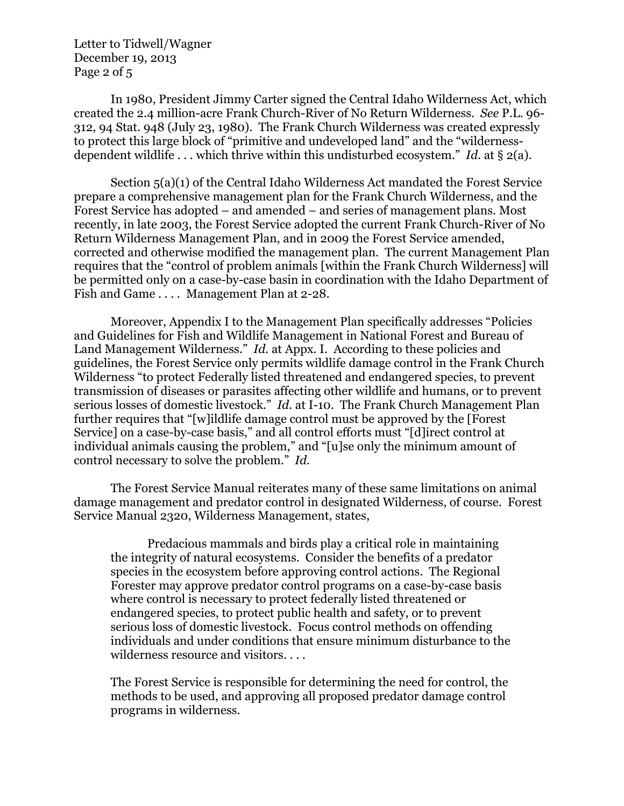Letter to Tidwell/Wagner December 19, 2013 Page 2 of 5

In 1980, President Jimmy Carter signed the Central Idaho Wilderness Act, which created the 2.4 million-acre Frank Church-River of No Return Wilderness. *See* P.L. 96- 312, 94 Stat. 948 (July 23, 1980). The Frank Church Wilderness was created expressly to protect this large block of "primitive and undeveloped land" and the "wildernessdependent wildlife . . . which thrive within this undisturbed ecosystem." *Id.* at § 2(a).

Section 5(a)(1) of the Central Idaho Wilderness Act mandated the Forest Service prepare a comprehensive management plan for the Frank Church Wilderness, and the Forest Service has adopted – and amended – and series of management plans. Most recently, in late 2003, the Forest Service adopted the current Frank Church-River of No Return Wilderness Management Plan, and in 2009 the Forest Service amended, corrected and otherwise modified the management plan. The current Management Plan requires that the "control of problem animals [within the Frank Church Wilderness] will be permitted only on a case-by-case basin in coordination with the Idaho Department of Fish and Game . . . . Management Plan at 2-28.

Moreover, Appendix I to the Management Plan specifically addresses "Policies and Guidelines for Fish and Wildlife Management in National Forest and Bureau of Land Management Wilderness." *Id.* at Appx. I. According to these policies and guidelines, the Forest Service only permits wildlife damage control in the Frank Church Wilderness "to protect Federally listed threatened and endangered species, to prevent transmission of diseases or parasites affecting other wildlife and humans, or to prevent serious losses of domestic livestock." *Id.* at I-10. The Frank Church Management Plan further requires that "[w]ildlife damage control must be approved by the [Forest Service] on a case-by-case basis," and all control efforts must "[d]irect control at individual animals causing the problem," and "[u]se only the minimum amount of control necessary to solve the problem." *Id.*

The Forest Service Manual reiterates many of these same limitations on animal damage management and predator control in designated Wilderness, of course. Forest Service Manual 2320, Wilderness Management, states,

Predacious mammals and birds play a critical role in maintaining the integrity of natural ecosystems. Consider the benefits of a predator species in the ecosystem before approving control actions. The Regional Forester may approve predator control programs on a case-by-case basis where control is necessary to protect federally listed threatened or endangered species, to protect public health and safety, or to prevent serious loss of domestic livestock. Focus control methods on offending individuals and under conditions that ensure minimum disturbance to the wilderness resource and visitors. . . .

The Forest Service is responsible for determining the need for control, the methods to be used, and approving all proposed predator damage control programs in wilderness.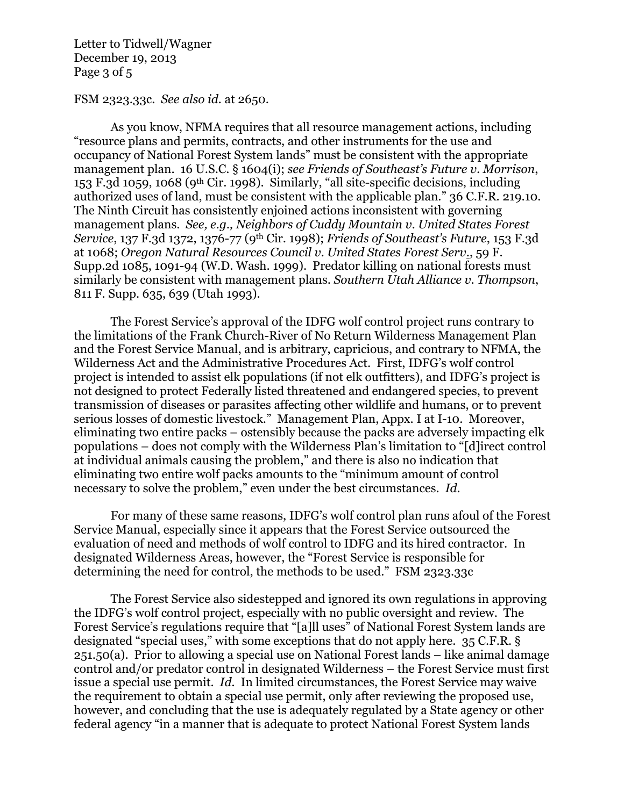Letter to Tidwell/Wagner December 19, 2013 Page 3 of 5

FSM 2323.33c. *See also id.* at 2650.

As you know, NFMA requires that all resource management actions, including "resource plans and permits, contracts, and other instruments for the use and occupancy of National Forest System lands" must be consistent with the appropriate management plan. 16 U.S.C. § 1604(i); *see Friends of Southeast's Future v. Morrison*, 153 F.3d 1059, 1068 (9th Cir. 1998). Similarly, "all site-specific decisions, including authorized uses of land, must be consistent with the applicable plan." 36 C.F.R. 219.10. The Ninth Circuit has consistently enjoined actions inconsistent with governing management plans. *See, e.g., Neighbors of Cuddy Mountain v. United States Forest Service*, 137 F.3d 1372, 1376-77 (9th Cir. 1998); *Friends of Southeast's Future*, 153 F.3d at 1068; *Oregon Natural Resources Council v. United States Forest Serv*., 59 F. Supp.2d 1085, 1091-94 (W.D. Wash. 1999). Predator killing on national forests must similarly be consistent with management plans. *Southern Utah Alliance v. Thompson*, 811 F. Supp. 635, 639 (Utah 1993).

The Forest Service's approval of the IDFG wolf control project runs contrary to the limitations of the Frank Church-River of No Return Wilderness Management Plan and the Forest Service Manual, and is arbitrary, capricious, and contrary to NFMA, the Wilderness Act and the Administrative Procedures Act. First, IDFG's wolf control project is intended to assist elk populations (if not elk outfitters), and IDFG's project is not designed to protect Federally listed threatened and endangered species, to prevent transmission of diseases or parasites affecting other wildlife and humans, or to prevent serious losses of domestic livestock." Management Plan, Appx. I at I-10. Moreover, eliminating two entire packs – ostensibly because the packs are adversely impacting elk populations – does not comply with the Wilderness Plan's limitation to "[d]irect control at individual animals causing the problem," and there is also no indication that eliminating two entire wolf packs amounts to the "minimum amount of control necessary to solve the problem," even under the best circumstances. *Id.* 

For many of these same reasons, IDFG's wolf control plan runs afoul of the Forest Service Manual, especially since it appears that the Forest Service outsourced the evaluation of need and methods of wolf control to IDFG and its hired contractor. In designated Wilderness Areas, however, the "Forest Service is responsible for determining the need for control, the methods to be used." FSM 2323.33c

The Forest Service also sidestepped and ignored its own regulations in approving the IDFG's wolf control project, especially with no public oversight and review. The Forest Service's regulations require that "[a]ll uses" of National Forest System lands are designated "special uses," with some exceptions that do not apply here. 35 C.F.R. § 251.50(a). Prior to allowing a special use on National Forest lands – like animal damage control and/or predator control in designated Wilderness – the Forest Service must first issue a special use permit. *Id.* In limited circumstances, the Forest Service may waive the requirement to obtain a special use permit, only after reviewing the proposed use, however, and concluding that the use is adequately regulated by a State agency or other federal agency "in a manner that is adequate to protect National Forest System lands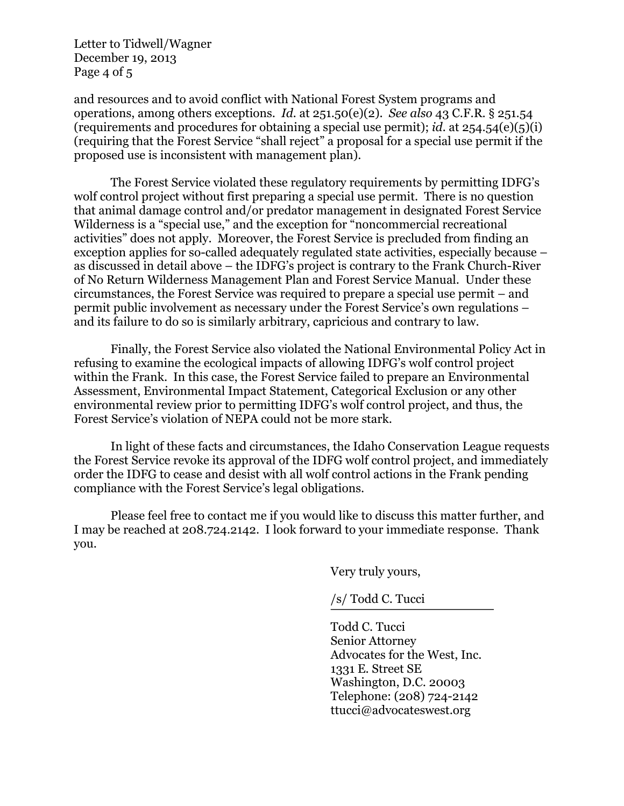Letter to Tidwell/Wagner December 19, 2013 Page 4 of 5

and resources and to avoid conflict with National Forest System programs and operations, among others exceptions. *Id.* at 251.50(e)(2). *See also* 43 C.F.R. § 251.54 (requirements and procedures for obtaining a special use permit); *id.* at 254.54(e)(5)(i) (requiring that the Forest Service "shall reject" a proposal for a special use permit if the proposed use is inconsistent with management plan).

The Forest Service violated these regulatory requirements by permitting IDFG's wolf control project without first preparing a special use permit. There is no question that animal damage control and/or predator management in designated Forest Service Wilderness is a "special use," and the exception for "noncommercial recreational activities" does not apply. Moreover, the Forest Service is precluded from finding an exception applies for so-called adequately regulated state activities, especially because – as discussed in detail above – the IDFG's project is contrary to the Frank Church-River of No Return Wilderness Management Plan and Forest Service Manual. Under these circumstances, the Forest Service was required to prepare a special use permit – and permit public involvement as necessary under the Forest Service's own regulations – and its failure to do so is similarly arbitrary, capricious and contrary to law.

Finally, the Forest Service also violated the National Environmental Policy Act in refusing to examine the ecological impacts of allowing IDFG's wolf control project within the Frank. In this case, the Forest Service failed to prepare an Environmental Assessment, Environmental Impact Statement, Categorical Exclusion or any other environmental review prior to permitting IDFG's wolf control project, and thus, the Forest Service's violation of NEPA could not be more stark.

In light of these facts and circumstances, the Idaho Conservation League requests the Forest Service revoke its approval of the IDFG wolf control project, and immediately order the IDFG to cease and desist with all wolf control actions in the Frank pending compliance with the Forest Service's legal obligations.

Please feel free to contact me if you would like to discuss this matter further, and I may be reached at 208.724.2142. I look forward to your immediate response. Thank you.

Very truly yours,

/s/ Todd C. Tucci

Todd C. Tucci Senior Attorney Advocates for the West, Inc. 1331 E. Street SE Washington, D.C. 20003 Telephone: (208) 724-2142 ttucci@advocateswest.org